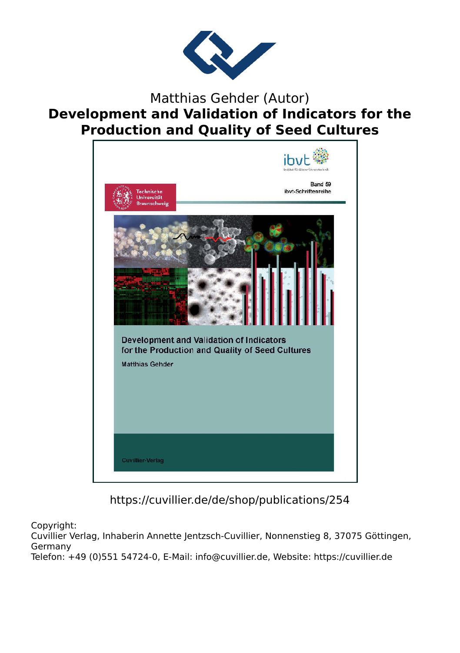

#### Matthias Gehder (Autor) **Development and Validation of Indicators for the Production and Quality of Seed Cultures**



https://cuvillier.de/de/shop/publications/254

Copyright:

Cuvillier Verlag, Inhaberin Annette Jentzsch-Cuvillier, Nonnenstieg 8, 37075 Göttingen, Germany Telefon: +49 (0)551 54724-0, E-Mail: info@cuvillier.de, Website: https://cuvillier.de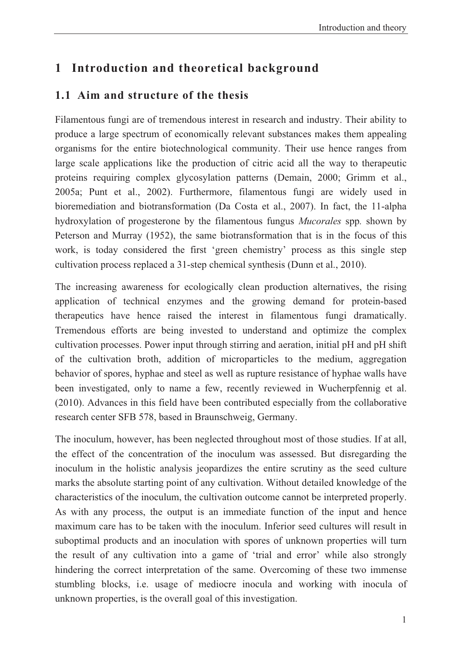## **1 Introduction and theoretical background**

#### **1.1 Aim and structure of the thesis**

Filamentous fungi are of tremendous interest in research and industry. Their ability to produce a large spectrum of economically relevant substances makes them appealing organisms for the entire biotechnological community. Their use hence ranges from large scale applications like the production of citric acid all the way to therapeutic proteins requiring complex glycosylation patterns (Demain, 2000; Grimm et al., 2005a; Punt et al., 2002). Furthermore, filamentous fungi are widely used in bioremediation and biotransformation (Da Costa et al., 2007). In fact, the 11-alpha hydroxylation of progesterone by the filamentous fungus *Mucorales* spp*.* shown by Peterson and Murray (1952), the same biotransformation that is in the focus of this work, is today considered the first 'green chemistry' process as this single step cultivation process replaced a 31-step chemical synthesis (Dunn et al., 2010).

The increasing awareness for ecologically clean production alternatives, the rising application of technical enzymes and the growing demand for protein-based therapeutics have hence raised the interest in filamentous fungi dramatically. Tremendous efforts are being invested to understand and optimize the complex cultivation processes. Power input through stirring and aeration, initial pH and pH shift of the cultivation broth, addition of microparticles to the medium, aggregation behavior of spores, hyphae and steel as well as rupture resistance of hyphae walls have been investigated, only to name a few, recently reviewed in Wucherpfennig et al. (2010). Advances in this field have been contributed especially from the collaborative research center SFB 578, based in Braunschweig, Germany.

The inoculum, however, has been neglected throughout most of those studies. If at all, the effect of the concentration of the inoculum was assessed. But disregarding the inoculum in the holistic analysis jeopardizes the entire scrutiny as the seed culture marks the absolute starting point of any cultivation. Without detailed knowledge of the characteristics of the inoculum, the cultivation outcome cannot be interpreted properly. As with any process, the output is an immediate function of the input and hence maximum care has to be taken with the inoculum. Inferior seed cultures will result in suboptimal products and an inoculation with spores of unknown properties will turn the result of any cultivation into a game of 'trial and error' while also strongly hindering the correct interpretation of the same. Overcoming of these two immense stumbling blocks, i.e. usage of mediocre inocula and working with inocula of unknown properties, is the overall goal of this investigation.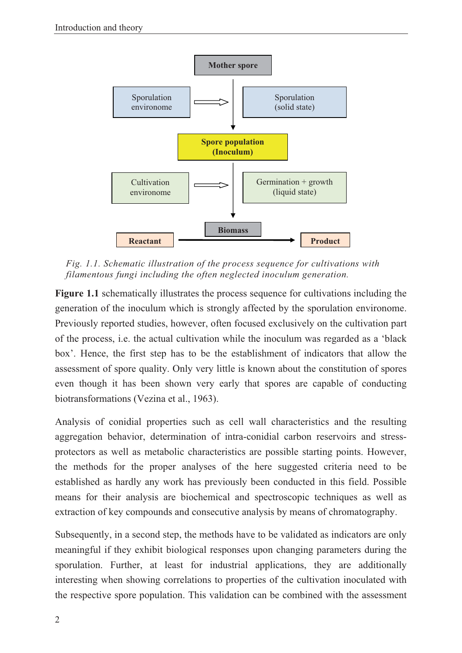

*Fig. 1.1. Schematic illustration of the process sequence for cultivations with filamentous fungi including the often neglected inoculum generation.* 

**Figure 1.1** schematically illustrates the process sequence for cultivations including the generation of the inoculum which is strongly affected by the sporulation environome. Previously reported studies, however, often focused exclusively on the cultivation part of the process, i.e. the actual cultivation while the inoculum was regarded as a 'black box'. Hence, the first step has to be the establishment of indicators that allow the assessment of spore quality. Only very little is known about the constitution of spores even though it has been shown very early that spores are capable of conducting biotransformations (Vezina et al., 1963).

Analysis of conidial properties such as cell wall characteristics and the resulting aggregation behavior, determination of intra-conidial carbon reservoirs and stressprotectors as well as metabolic characteristics are possible starting points. However, the methods for the proper analyses of the here suggested criteria need to be established as hardly any work has previously been conducted in this field. Possible means for their analysis are biochemical and spectroscopic techniques as well as extraction of key compounds and consecutive analysis by means of chromatography.

Subsequently, in a second step, the methods have to be validated as indicators are only meaningful if they exhibit biological responses upon changing parameters during the sporulation. Further, at least for industrial applications, they are additionally interesting when showing correlations to properties of the cultivation inoculated with the respective spore population. This validation can be combined with the assessment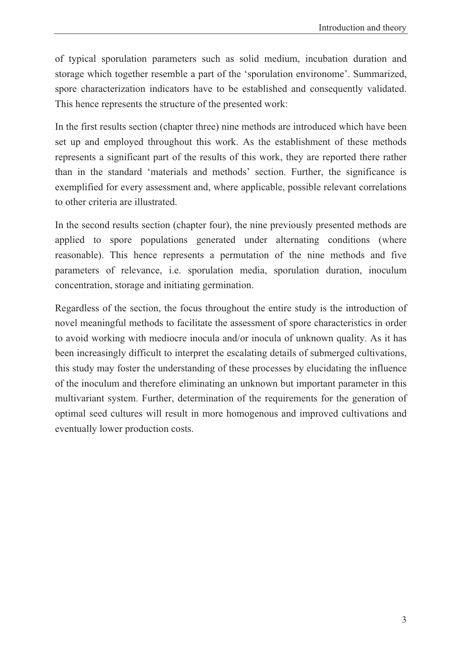of typical sporulation parameters such as solid medium, incubation duration and storage which together resemble a part of the 'sporulation environome'. Summarized, spore characterization indicators have to be established and consequently validated. This hence represents the structure of the presented work:

In the first results section (chapter three) nine methods are introduced which have been set up and employed throughout this work. As the establishment of these methods represents a significant part of the results of this work, they are reported there rather than in the standard 'materials and methods' section. Further, the significance is exemplified for every assessment and, where applicable, possible relevant correlations to other criteria are illustrated.

In the second results section (chapter four), the nine previously presented methods are applied to spore populations generated under alternating conditions (where reasonable). This hence represents a permutation of the nine methods and five parameters of relevance, i.e. sporulation media, sporulation duration, inoculum concentration, storage and initiating germination.

Regardless of the section, the focus throughout the entire study is the introduction of novel meaningful methods to facilitate the assessment of spore characteristics in order to avoid working with mediocre inocula and/or inocula of unknown quality. As it has been increasingly difficult to interpret the escalating details of submerged cultivations, this study may foster the understanding of these processes by elucidating the influence of the inoculum and therefore eliminating an unknown but important parameter in this multivariant system. Further, determination of the requirements for the generation of optimal seed cultures will result in more homogenous and improved cultivations and eventually lower production costs.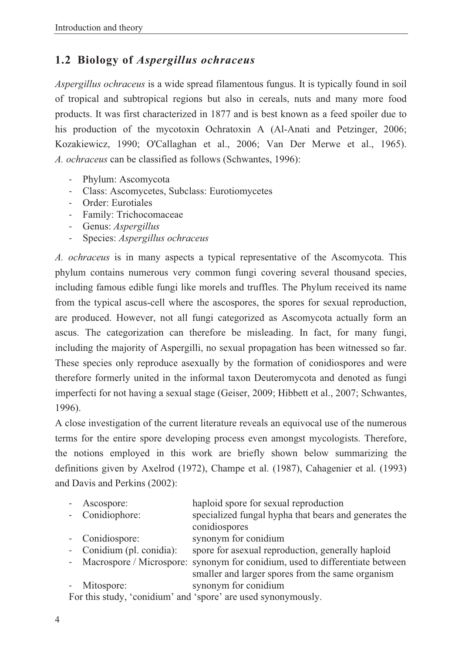### **1.2 Biology of** *Aspergillus ochraceus*

*Aspergillus ochraceus* is a wide spread filamentous fungus. It is typically found in soil of tropical and subtropical regions but also in cereals, nuts and many more food products. It was first characterized in 1877 and is best known as a feed spoiler due to his production of the mycotoxin Ochratoxin A (Al-Anati and Petzinger, 2006; Kozakiewicz, 1990; O'Callaghan et al., 2006; Van Der Merwe et al., 1965). *A. ochraceus* can be classified as follows (Schwantes, 1996):

- Phylum: Ascomycota
- Class: Ascomycetes, Subclass: Eurotiomycetes
- Order: Eurotiales
- Family: Trichocomaceae
- Genus: *Aspergillus*
- Species: *Aspergillus ochraceus*

*A. ochraceus* is in many aspects a typical representative of the Ascomycota. This phylum contains numerous very common fungi covering several thousand species, including famous edible fungi like morels and truffles. The Phylum received its name from the typical ascus-cell where the ascospores, the spores for sexual reproduction, are produced. However, not all fungi categorized as Ascomycota actually form an ascus. The categorization can therefore be misleading. In fact, for many fungi, including the majority of Aspergilli, no sexual propagation has been witnessed so far. These species only reproduce asexually by the formation of conidiospores and were therefore formerly united in the informal taxon Deuteromycota and denoted as fungi imperfecti for not having a sexual stage (Geiser, 2009; Hibbett et al., 2007; Schwantes, 1996).

A close investigation of the current literature reveals an equivocal use of the numerous terms for the entire spore developing process even amongst mycologists. Therefore, the notions employed in this work are briefly shown below summarizing the definitions given by Axelrod (1972), Champe et al. (1987), Cahagenier et al. (1993) and Davis and Perkins (2002):

|                                                               | - Ascospore:              | haploid spore for sexual reproduction                                          |
|---------------------------------------------------------------|---------------------------|--------------------------------------------------------------------------------|
|                                                               | - Conidiophore:           | specialized fungal hypha that bears and generates the                          |
|                                                               |                           | conidiospores                                                                  |
|                                                               | - Conidiospore:           | synonym for conidium                                                           |
|                                                               | - Conidium (pl. conidia): | spore for asexual reproduction, generally haploid                              |
|                                                               |                           | - Macrospore / Microspore: synonym for conidium, used to differentiate between |
|                                                               |                           | smaller and larger spores from the same organism                               |
|                                                               | - Mitospore:              | synonym for conidium                                                           |
| For this study, 'conidium' and 'spore' are used synonymously. |                           |                                                                                |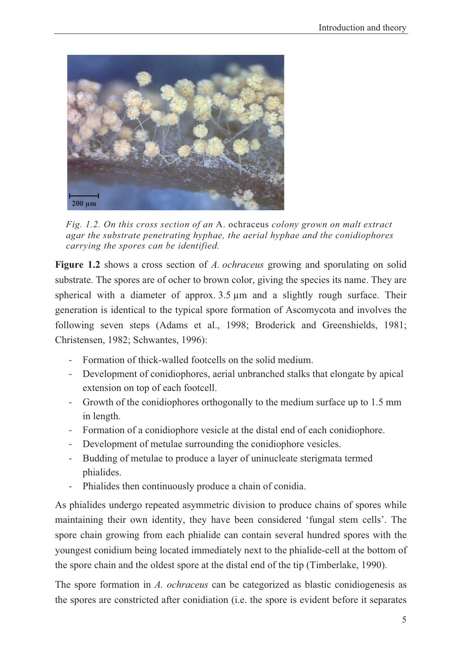

*Fig. 1.2. On this cross section of an* A. ochraceus *colony grown on malt extract agar the substrate penetrating hyphae, the aerial hyphae and the conidiophores carrying the spores can be identified.* 

**Figure 1.2** shows a cross section of *A. ochraceus* growing and sporulating on solid substrate. The spores are of ocher to brown color, giving the species its name. They are spherical with a diameter of approx. 3.5 μm and a slightly rough surface. Their generation is identical to the typical spore formation of Ascomycota and involves the following seven steps (Adams et al., 1998; Broderick and Greenshields, 1981; Christensen, 1982; Schwantes, 1996):

- Formation of thick-walled footcells on the solid medium.
- Development of conidiophores, aerial unbranched stalks that elongate by apical extension on top of each footcell.
- Growth of the conidiophores orthogonally to the medium surface up to 1.5 mm in length.
- Formation of a conidiophore vesicle at the distal end of each conidiophore.
- Development of metulae surrounding the conidiophore vesicles.
- Budding of metulae to produce a layer of uninucleate sterigmata termed phialides.
- Phialides then continuously produce a chain of conidia.

As phialides undergo repeated asymmetric division to produce chains of spores while maintaining their own identity, they have been considered 'fungal stem cells'. The spore chain growing from each phialide can contain several hundred spores with the youngest conidium being located immediately next to the phialide-cell at the bottom of the spore chain and the oldest spore at the distal end of the tip (Timberlake, 1990).

The spore formation in *A. ochraceus* can be categorized as blastic conidiogenesis as the spores are constricted after conidiation (i.e. the spore is evident before it separates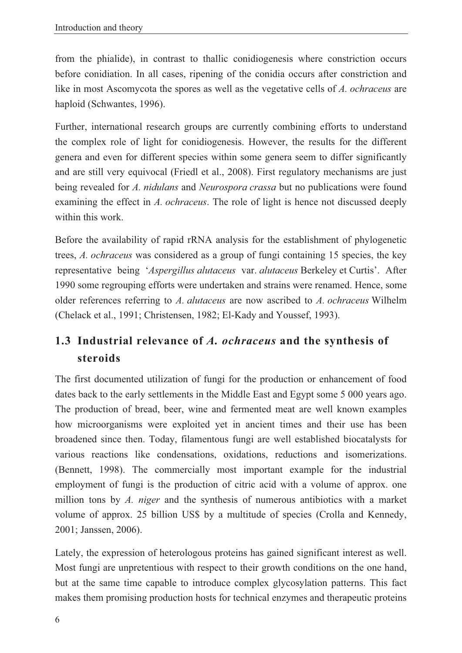from the phialide), in contrast to thallic conidiogenesis where constriction occurs before conidiation. In all cases, ripening of the conidia occurs after constriction and like in most Ascomycota the spores as well as the vegetative cells of *A. ochraceus* are haploid (Schwantes, 1996).

Further, international research groups are currently combining efforts to understand the complex role of light for conidiogenesis. However, the results for the different genera and even for different species within some genera seem to differ significantly and are still very equivocal (Friedl et al., 2008). First regulatory mechanisms are just being revealed for *A. nidulans* and *Neurospora crassa* but no publications were found examining the effect in *A. ochraceus*. The role of light is hence not discussed deeply within this work.

Before the availability of rapid rRNA analysis for the establishment of phylogenetic trees, *A. ochraceus* was considered as a group of fungi containing 15 species, the key representative being '*Aspergillus alutaceus* var. *alutaceus* Berkeley et Curtis'. After 1990 some regrouping efforts were undertaken and strains were renamed. Hence, some older references referring to *A. alutaceus* are now ascribed to *A. ochraceus* Wilhelm (Chelack et al., 1991; Christensen, 1982; El-Kady and Youssef, 1993).

# **1.3 Industrial relevance of** *A. ochraceus* **and the synthesis of steroids**

The first documented utilization of fungi for the production or enhancement of food dates back to the early settlements in the Middle East and Egypt some 5 000 years ago. The production of bread, beer, wine and fermented meat are well known examples how microorganisms were exploited yet in ancient times and their use has been broadened since then. Today, filamentous fungi are well established biocatalysts for various reactions like condensations, oxidations, reductions and isomerizations. (Bennett, 1998). The commercially most important example for the industrial employment of fungi is the production of citric acid with a volume of approx. one million tons by *A. niger* and the synthesis of numerous antibiotics with a market volume of approx. 25 billion US\$ by a multitude of species (Crolla and Kennedy, 2001; Janssen, 2006).

Lately, the expression of heterologous proteins has gained significant interest as well. Most fungi are unpretentious with respect to their growth conditions on the one hand, but at the same time capable to introduce complex glycosylation patterns. This fact makes them promising production hosts for technical enzymes and therapeutic proteins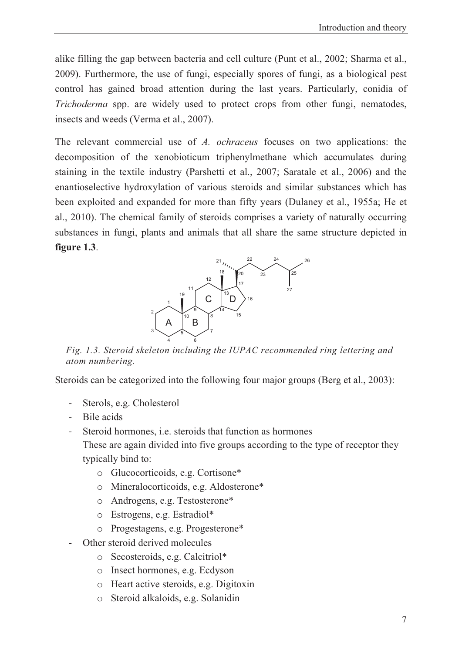alike filling the gap between bacteria and cell culture (Punt et al., 2002; Sharma et al., 2009). Furthermore, the use of fungi, especially spores of fungi, as a biological pest control has gained broad attention during the last years. Particularly, conidia of *Trichoderma* spp. are widely used to protect crops from other fungi, nematodes, insects and weeds (Verma et al., 2007).

The relevant commercial use of *A. ochraceus* focuses on two applications: the decomposition of the xenobioticum triphenylmethane which accumulates during staining in the textile industry (Parshetti et al., 2007; Saratale et al., 2006) and the enantioselective hydroxylation of various steroids and similar substances which has been exploited and expanded for more than fifty years (Dulaney et al., 1955a; He et al., 2010). The chemical family of steroids comprises a variety of naturally occurring substances in fungi, plants and animals that all share the same structure depicted in **figure 1.3**.



*Fig. 1.3. Steroid skeleton including the IUPAC recommended ring lettering and atom numbering.* 

Steroids can be categorized into the following four major groups (Berg et al., 2003):

- Sterols, e.g. Cholesterol
- Bile acids
- Steroid hormones, i.e. steroids that function as hormones

These are again divided into five groups according to the type of receptor they typically bind to:

- o Glucocorticoids, e.g. Cortisone\*
- o Mineralocorticoids, e.g. Aldosterone\*
- o Androgens, e.g. Testosterone\*
- o Estrogens, e.g. Estradiol\*
- o Progestagens, e.g. Progesterone\*
- Other steroid derived molecules
	- o Secosteroids, e.g. Calcitriol\*
	- o Insect hormones, e.g. Ecdyson
	- o Heart active steroids, e.g. Digitoxin
	- o Steroid alkaloids, e.g. Solanidin